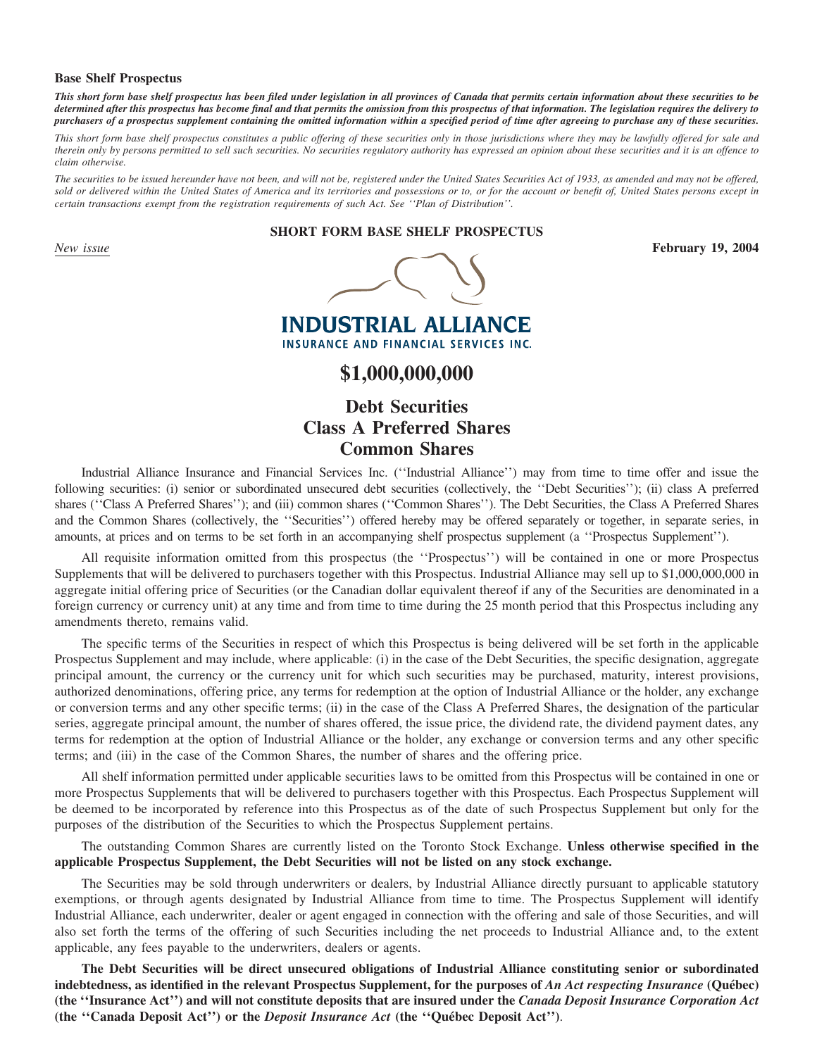#### **Base Shelf Prospectus**

*This short form base shelf prospectus has been filed under legislation in all provinces of Canada that permits certain information about these securities to be determined after this prospectus has become final and that permits the omission from this prospectus of that information. The legislation requires the delivery to purchasers of a prospectus supplement containing the omitted information within a specified period of time after agreeing to purchase any of these securities.*

*This short form base shelf prospectus constitutes a public offering of these securities only in those jurisdictions where they may be lawfully offered for sale and therein only by persons permitted to sell such securities. No securities regulatory authority has expressed an opinion about these securities and it is an offence to claim otherwise.*

*The securities to be issued hereunder have not been, and will not be, registered under the United States Securities Act of 1933, as amended and may not be offered, sold or delivered within the United States of America and its territories and possessions or to, or for the account or benefit of, United States persons except in certain transactions exempt from the registration requirements of such Act. See ''Plan of Distribution''.*

#### **SHORT FORM BASE SHELF PROSPECTUS**



**INDUSTRIAL ALLIANCE INSURANCE AND FINANCIAL SERVICES INC.** 

## **\$1,000,000,000**

# **Debt Securities Class A Preferred Shares Common Shares**

Industrial Alliance Insurance and Financial Services Inc. (''Industrial Alliance'') may from time to time offer and issue the following securities: (i) senior or subordinated unsecured debt securities (collectively, the ''Debt Securities''); (ii) class A preferred shares (''Class A Preferred Shares''); and (iii) common shares (''Common Shares''). The Debt Securities, the Class A Preferred Shares and the Common Shares (collectively, the ''Securities'') offered hereby may be offered separately or together, in separate series, in amounts, at prices and on terms to be set forth in an accompanying shelf prospectus supplement (a ''Prospectus Supplement'').

All requisite information omitted from this prospectus (the ''Prospectus'') will be contained in one or more Prospectus Supplements that will be delivered to purchasers together with this Prospectus. Industrial Alliance may sell up to \$1,000,000,000 in aggregate initial offering price of Securities (or the Canadian dollar equivalent thereof if any of the Securities are denominated in a foreign currency or currency unit) at any time and from time to time during the 25 month period that this Prospectus including any amendments thereto, remains valid.

The specific terms of the Securities in respect of which this Prospectus is being delivered will be set forth in the applicable Prospectus Supplement and may include, where applicable: (i) in the case of the Debt Securities, the specific designation, aggregate principal amount, the currency or the currency unit for which such securities may be purchased, maturity, interest provisions, authorized denominations, offering price, any terms for redemption at the option of Industrial Alliance or the holder, any exchange or conversion terms and any other specific terms; (ii) in the case of the Class A Preferred Shares, the designation of the particular series, aggregate principal amount, the number of shares offered, the issue price, the dividend rate, the dividend payment dates, any terms for redemption at the option of Industrial Alliance or the holder, any exchange or conversion terms and any other specific terms; and (iii) in the case of the Common Shares, the number of shares and the offering price.

All shelf information permitted under applicable securities laws to be omitted from this Prospectus will be contained in one or more Prospectus Supplements that will be delivered to purchasers together with this Prospectus. Each Prospectus Supplement will be deemed to be incorporated by reference into this Prospectus as of the date of such Prospectus Supplement but only for the purposes of the distribution of the Securities to which the Prospectus Supplement pertains.

The outstanding Common Shares are currently listed on the Toronto Stock Exchange. **Unless otherwise specified in the applicable Prospectus Supplement, the Debt Securities will not be listed on any stock exchange.**

The Securities may be sold through underwriters or dealers, by Industrial Alliance directly pursuant to applicable statutory exemptions, or through agents designated by Industrial Alliance from time to time. The Prospectus Supplement will identify Industrial Alliance, each underwriter, dealer or agent engaged in connection with the offering and sale of those Securities, and will also set forth the terms of the offering of such Securities including the net proceeds to Industrial Alliance and, to the extent applicable, any fees payable to the underwriters, dealers or agents.

**The Debt Securities will be direct unsecured obligations of Industrial Alliance constituting senior or subordinated indebtedness, as identified in the relevant Prospectus Supplement, for the purposes of An Act respecting Insurance (Ouébec) (the ''Insurance Act'') and will not constitute deposits that are insured under the** *Canada Deposit Insurance Corporation Act* **(the "Canada Deposit Act") or the** *Deposit Insurance Act* **(the "Québec Deposit Act").**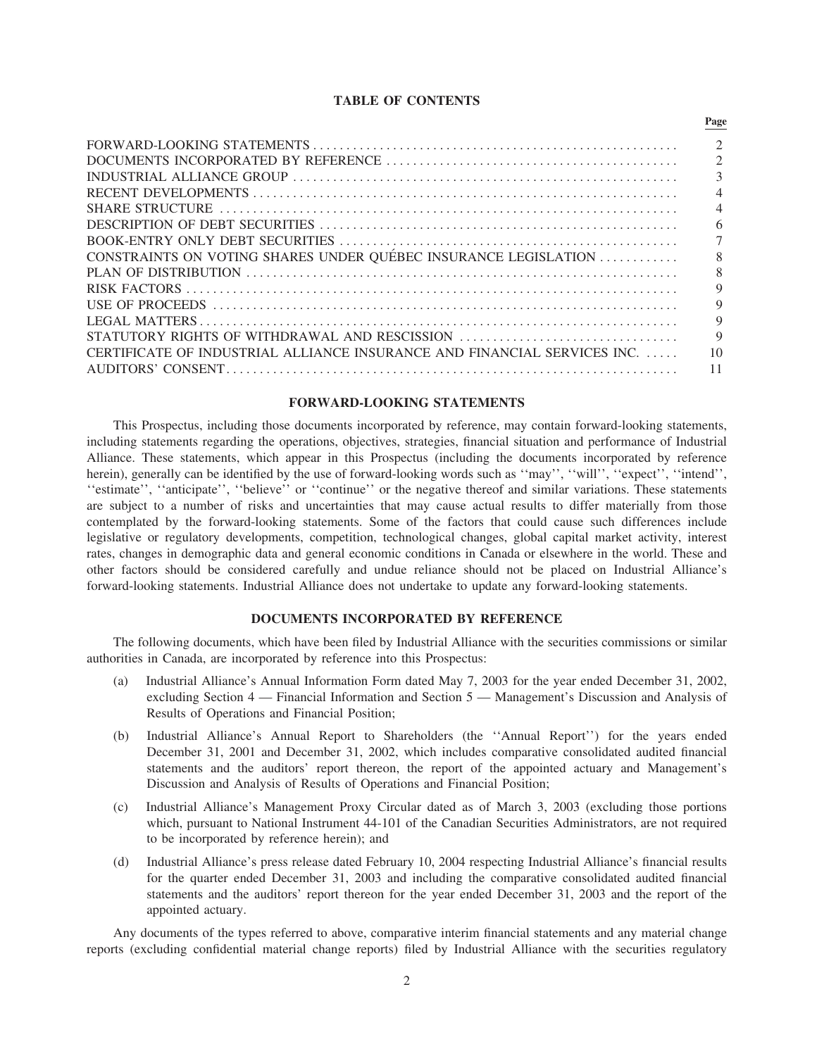#### **TABLE OF CONTENTS**

**Page**

|                                                                         | $\mathfrak{D}$           |
|-------------------------------------------------------------------------|--------------------------|
|                                                                         | $\mathcal{L}$            |
|                                                                         | 3                        |
|                                                                         | $\overline{4}$           |
|                                                                         | $\overline{\mathcal{A}}$ |
|                                                                         | 6                        |
|                                                                         | 7                        |
| CONSTRAINTS ON VOTING SHARES UNDER QUÉBEC INSURANCE LEGISLATION         | 8                        |
|                                                                         | 8                        |
|                                                                         | 9                        |
|                                                                         | 9                        |
|                                                                         | 9                        |
| STATUTORY RIGHTS OF WITHDRAWAL AND RESCISSION                           | $\mathbf Q$              |
| CERTIFICATE OF INDUSTRIAL ALLIANCE INSURANCE AND FINANCIAL SERVICES INC | 10                       |
|                                                                         | 11                       |

## **FORWARD-LOOKING STATEMENTS**

This Prospectus, including those documents incorporated by reference, may contain forward-looking statements, including statements regarding the operations, objectives, strategies, financial situation and performance of Industrial Alliance. These statements, which appear in this Prospectus (including the documents incorporated by reference herein), generally can be identified by the use of forward-looking words such as "may", "will", "expect", "intend", ''estimate'', ''anticipate'', ''believe'' or ''continue'' or the negative thereof and similar variations. These statements are subject to a number of risks and uncertainties that may cause actual results to differ materially from those contemplated by the forward-looking statements. Some of the factors that could cause such differences include legislative or regulatory developments, competition, technological changes, global capital market activity, interest rates, changes in demographic data and general economic conditions in Canada or elsewhere in the world. These and other factors should be considered carefully and undue reliance should not be placed on Industrial Alliance's forward-looking statements. Industrial Alliance does not undertake to update any forward-looking statements.

## **DOCUMENTS INCORPORATED BY REFERENCE**

The following documents, which have been filed by Industrial Alliance with the securities commissions or similar authorities in Canada, are incorporated by reference into this Prospectus:

- (a) Industrial Alliance's Annual Information Form dated May 7, 2003 for the year ended December 31, 2002, excluding Section 4 — Financial Information and Section 5 — Management's Discussion and Analysis of Results of Operations and Financial Position;
- (b) Industrial Alliance's Annual Report to Shareholders (the ''Annual Report'') for the years ended December 31, 2001 and December 31, 2002, which includes comparative consolidated audited financial statements and the auditors' report thereon, the report of the appointed actuary and Management's Discussion and Analysis of Results of Operations and Financial Position;
- (c) Industrial Alliance's Management Proxy Circular dated as of March 3, 2003 (excluding those portions which, pursuant to National Instrument 44-101 of the Canadian Securities Administrators, are not required to be incorporated by reference herein); and
- (d) Industrial Alliance's press release dated February 10, 2004 respecting Industrial Alliance's financial results for the quarter ended December 31, 2003 and including the comparative consolidated audited financial statements and the auditors' report thereon for the year ended December 31, 2003 and the report of the appointed actuary.

Any documents of the types referred to above, comparative interim financial statements and any material change reports (excluding confidential material change reports) filed by Industrial Alliance with the securities regulatory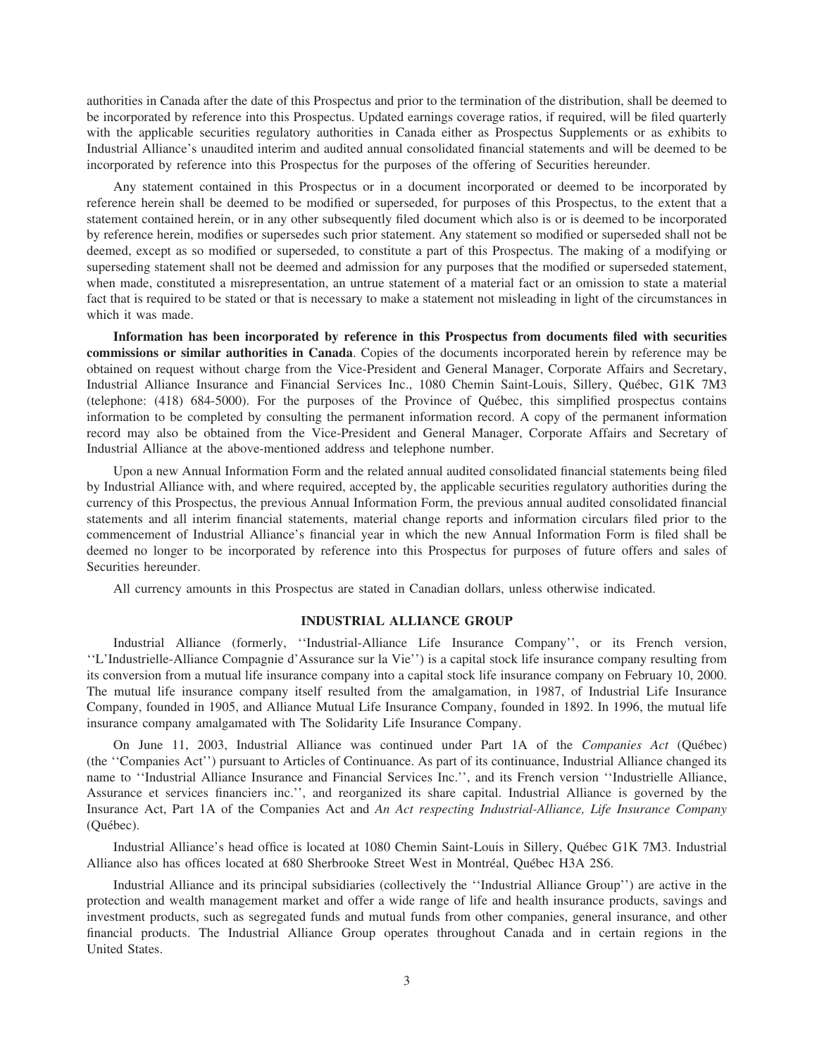authorities in Canada after the date of this Prospectus and prior to the termination of the distribution, shall be deemed to be incorporated by reference into this Prospectus. Updated earnings coverage ratios, if required, will be filed quarterly with the applicable securities regulatory authorities in Canada either as Prospectus Supplements or as exhibits to Industrial Alliance's unaudited interim and audited annual consolidated financial statements and will be deemed to be incorporated by reference into this Prospectus for the purposes of the offering of Securities hereunder.

Any statement contained in this Prospectus or in a document incorporated or deemed to be incorporated by reference herein shall be deemed to be modified or superseded, for purposes of this Prospectus, to the extent that a statement contained herein, or in any other subsequently filed document which also is or is deemed to be incorporated by reference herein, modifies or supersedes such prior statement. Any statement so modified or superseded shall not be deemed, except as so modified or superseded, to constitute a part of this Prospectus. The making of a modifying or superseding statement shall not be deemed and admission for any purposes that the modified or superseded statement, when made, constituted a misrepresentation, an untrue statement of a material fact or an omission to state a material fact that is required to be stated or that is necessary to make a statement not misleading in light of the circumstances in which it was made.

**Information has been incorporated by reference in this Prospectus from documents filed with securities commissions or similar authorities in Canada**. Copies of the documents incorporated herein by reference may be obtained on request without charge from the Vice-President and General Manager, Corporate Affairs and Secretary, Industrial Alliance Insurance and Financial Services Inc., 1080 Chemin Saint-Louis, Sillery, Québec, G1K 7M3 (telephone:  $(418)$  684-5000). For the purposes of the Province of Québec, this simplified prospectus contains information to be completed by consulting the permanent information record. A copy of the permanent information record may also be obtained from the Vice-President and General Manager, Corporate Affairs and Secretary of Industrial Alliance at the above-mentioned address and telephone number.

Upon a new Annual Information Form and the related annual audited consolidated financial statements being filed by Industrial Alliance with, and where required, accepted by, the applicable securities regulatory authorities during the currency of this Prospectus, the previous Annual Information Form, the previous annual audited consolidated financial statements and all interim financial statements, material change reports and information circulars filed prior to the commencement of Industrial Alliance's financial year in which the new Annual Information Form is filed shall be deemed no longer to be incorporated by reference into this Prospectus for purposes of future offers and sales of Securities hereunder.

All currency amounts in this Prospectus are stated in Canadian dollars, unless otherwise indicated.

#### **INDUSTRIAL ALLIANCE GROUP**

Industrial Alliance (formerly, ''Industrial-Alliance Life Insurance Company'', or its French version, ''L'Industrielle-Alliance Compagnie d'Assurance sur la Vie'') is a capital stock life insurance company resulting from its conversion from a mutual life insurance company into a capital stock life insurance company on February 10, 2000. The mutual life insurance company itself resulted from the amalgamation, in 1987, of Industrial Life Insurance Company, founded in 1905, and Alliance Mutual Life Insurance Company, founded in 1892. In 1996, the mutual life insurance company amalgamated with The Solidarity Life Insurance Company.

On June 11, 2003, Industrial Alliance was continued under Part 1A of the *Companies Act* (Québec) (the ''Companies Act'') pursuant to Articles of Continuance. As part of its continuance, Industrial Alliance changed its name to ''Industrial Alliance Insurance and Financial Services Inc.'', and its French version ''Industrielle Alliance, Assurance et services financiers inc.'', and reorganized its share capital. Industrial Alliance is governed by the Insurance Act, Part 1A of the Companies Act and *An Act respecting Industrial-Alliance, Life Insurance Company* (Québec).

Industrial Alliance's head office is located at 1080 Chemin Saint-Louis in Sillery, Québec G1K 7M3. Industrial Alliance also has offices located at 680 Sherbrooke Street West in Montréal, Québec H3A 2S6.

Industrial Alliance and its principal subsidiaries (collectively the ''Industrial Alliance Group'') are active in the protection and wealth management market and offer a wide range of life and health insurance products, savings and investment products, such as segregated funds and mutual funds from other companies, general insurance, and other financial products. The Industrial Alliance Group operates throughout Canada and in certain regions in the United States.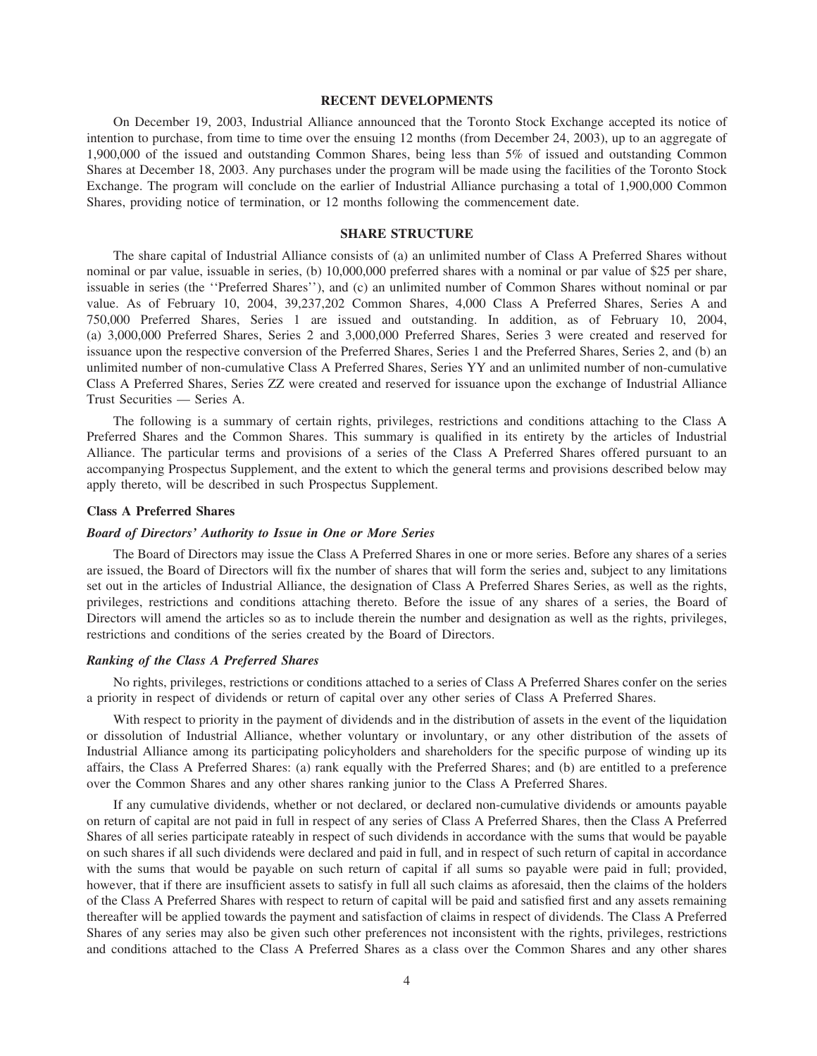#### **RECENT DEVELOPMENTS**

On December 19, 2003, Industrial Alliance announced that the Toronto Stock Exchange accepted its notice of intention to purchase, from time to time over the ensuing 12 months (from December 24, 2003), up to an aggregate of 1,900,000 of the issued and outstanding Common Shares, being less than 5% of issued and outstanding Common Shares at December 18, 2003. Any purchases under the program will be made using the facilities of the Toronto Stock Exchange. The program will conclude on the earlier of Industrial Alliance purchasing a total of 1,900,000 Common Shares, providing notice of termination, or 12 months following the commencement date.

## **SHARE STRUCTURE**

The share capital of Industrial Alliance consists of (a) an unlimited number of Class A Preferred Shares without nominal or par value, issuable in series, (b) 10,000,000 preferred shares with a nominal or par value of \$25 per share, issuable in series (the ''Preferred Shares''), and (c) an unlimited number of Common Shares without nominal or par value. As of February 10, 2004, 39,237,202 Common Shares, 4,000 Class A Preferred Shares, Series A and 750,000 Preferred Shares, Series 1 are issued and outstanding. In addition, as of February 10, 2004, (a) 3,000,000 Preferred Shares, Series 2 and 3,000,000 Preferred Shares, Series 3 were created and reserved for issuance upon the respective conversion of the Preferred Shares, Series 1 and the Preferred Shares, Series 2, and (b) an unlimited number of non-cumulative Class A Preferred Shares, Series YY and an unlimited number of non-cumulative Class A Preferred Shares, Series ZZ were created and reserved for issuance upon the exchange of Industrial Alliance Trust Securities — Series A.

The following is a summary of certain rights, privileges, restrictions and conditions attaching to the Class A Preferred Shares and the Common Shares. This summary is qualified in its entirety by the articles of Industrial Alliance. The particular terms and provisions of a series of the Class A Preferred Shares offered pursuant to an accompanying Prospectus Supplement, and the extent to which the general terms and provisions described below may apply thereto, will be described in such Prospectus Supplement.

## **Class A Preferred Shares**

#### *Board of Directors' Authority to Issue in One or More Series*

The Board of Directors may issue the Class A Preferred Shares in one or more series. Before any shares of a series are issued, the Board of Directors will fix the number of shares that will form the series and, subject to any limitations set out in the articles of Industrial Alliance, the designation of Class A Preferred Shares Series, as well as the rights, privileges, restrictions and conditions attaching thereto. Before the issue of any shares of a series, the Board of Directors will amend the articles so as to include therein the number and designation as well as the rights, privileges, restrictions and conditions of the series created by the Board of Directors.

## *Ranking of the Class A Preferred Shares*

No rights, privileges, restrictions or conditions attached to a series of Class A Preferred Shares confer on the series a priority in respect of dividends or return of capital over any other series of Class A Preferred Shares.

With respect to priority in the payment of dividends and in the distribution of assets in the event of the liquidation or dissolution of Industrial Alliance, whether voluntary or involuntary, or any other distribution of the assets of Industrial Alliance among its participating policyholders and shareholders for the specific purpose of winding up its affairs, the Class A Preferred Shares: (a) rank equally with the Preferred Shares; and (b) are entitled to a preference over the Common Shares and any other shares ranking junior to the Class A Preferred Shares.

If any cumulative dividends, whether or not declared, or declared non-cumulative dividends or amounts payable on return of capital are not paid in full in respect of any series of Class A Preferred Shares, then the Class A Preferred Shares of all series participate rateably in respect of such dividends in accordance with the sums that would be payable on such shares if all such dividends were declared and paid in full, and in respect of such return of capital in accordance with the sums that would be payable on such return of capital if all sums so payable were paid in full; provided, however, that if there are insufficient assets to satisfy in full all such claims as aforesaid, then the claims of the holders of the Class A Preferred Shares with respect to return of capital will be paid and satisfied first and any assets remaining thereafter will be applied towards the payment and satisfaction of claims in respect of dividends. The Class A Preferred Shares of any series may also be given such other preferences not inconsistent with the rights, privileges, restrictions and conditions attached to the Class A Preferred Shares as a class over the Common Shares and any other shares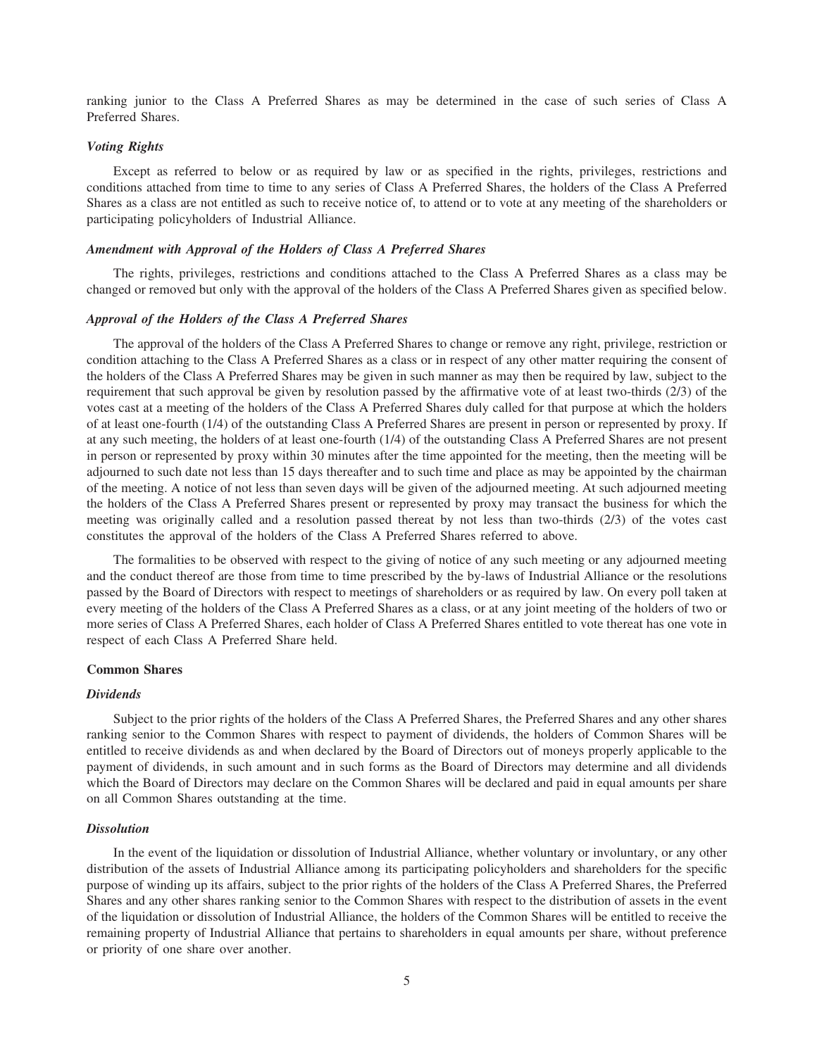ranking junior to the Class A Preferred Shares as may be determined in the case of such series of Class A Preferred Shares.

## *Voting Rights*

Except as referred to below or as required by law or as specified in the rights, privileges, restrictions and conditions attached from time to time to any series of Class A Preferred Shares, the holders of the Class A Preferred Shares as a class are not entitled as such to receive notice of, to attend or to vote at any meeting of the shareholders or participating policyholders of Industrial Alliance.

## *Amendment with Approval of the Holders of Class A Preferred Shares*

The rights, privileges, restrictions and conditions attached to the Class A Preferred Shares as a class may be changed or removed but only with the approval of the holders of the Class A Preferred Shares given as specified below.

#### *Approval of the Holders of the Class A Preferred Shares*

The approval of the holders of the Class A Preferred Shares to change or remove any right, privilege, restriction or condition attaching to the Class A Preferred Shares as a class or in respect of any other matter requiring the consent of the holders of the Class A Preferred Shares may be given in such manner as may then be required by law, subject to the requirement that such approval be given by resolution passed by the affirmative vote of at least two-thirds (2/3) of the votes cast at a meeting of the holders of the Class A Preferred Shares duly called for that purpose at which the holders of at least one-fourth (1/4) of the outstanding Class A Preferred Shares are present in person or represented by proxy. If at any such meeting, the holders of at least one-fourth (1/4) of the outstanding Class A Preferred Shares are not present in person or represented by proxy within 30 minutes after the time appointed for the meeting, then the meeting will be adjourned to such date not less than 15 days thereafter and to such time and place as may be appointed by the chairman of the meeting. A notice of not less than seven days will be given of the adjourned meeting. At such adjourned meeting the holders of the Class A Preferred Shares present or represented by proxy may transact the business for which the meeting was originally called and a resolution passed thereat by not less than two-thirds (2/3) of the votes cast constitutes the approval of the holders of the Class A Preferred Shares referred to above.

The formalities to be observed with respect to the giving of notice of any such meeting or any adjourned meeting and the conduct thereof are those from time to time prescribed by the by-laws of Industrial Alliance or the resolutions passed by the Board of Directors with respect to meetings of shareholders or as required by law. On every poll taken at every meeting of the holders of the Class A Preferred Shares as a class, or at any joint meeting of the holders of two or more series of Class A Preferred Shares, each holder of Class A Preferred Shares entitled to vote thereat has one vote in respect of each Class A Preferred Share held.

#### **Common Shares**

#### *Dividends*

Subject to the prior rights of the holders of the Class A Preferred Shares, the Preferred Shares and any other shares ranking senior to the Common Shares with respect to payment of dividends, the holders of Common Shares will be entitled to receive dividends as and when declared by the Board of Directors out of moneys properly applicable to the payment of dividends, in such amount and in such forms as the Board of Directors may determine and all dividends which the Board of Directors may declare on the Common Shares will be declared and paid in equal amounts per share on all Common Shares outstanding at the time.

## *Dissolution*

In the event of the liquidation or dissolution of Industrial Alliance, whether voluntary or involuntary, or any other distribution of the assets of Industrial Alliance among its participating policyholders and shareholders for the specific purpose of winding up its affairs, subject to the prior rights of the holders of the Class A Preferred Shares, the Preferred Shares and any other shares ranking senior to the Common Shares with respect to the distribution of assets in the event of the liquidation or dissolution of Industrial Alliance, the holders of the Common Shares will be entitled to receive the remaining property of Industrial Alliance that pertains to shareholders in equal amounts per share, without preference or priority of one share over another.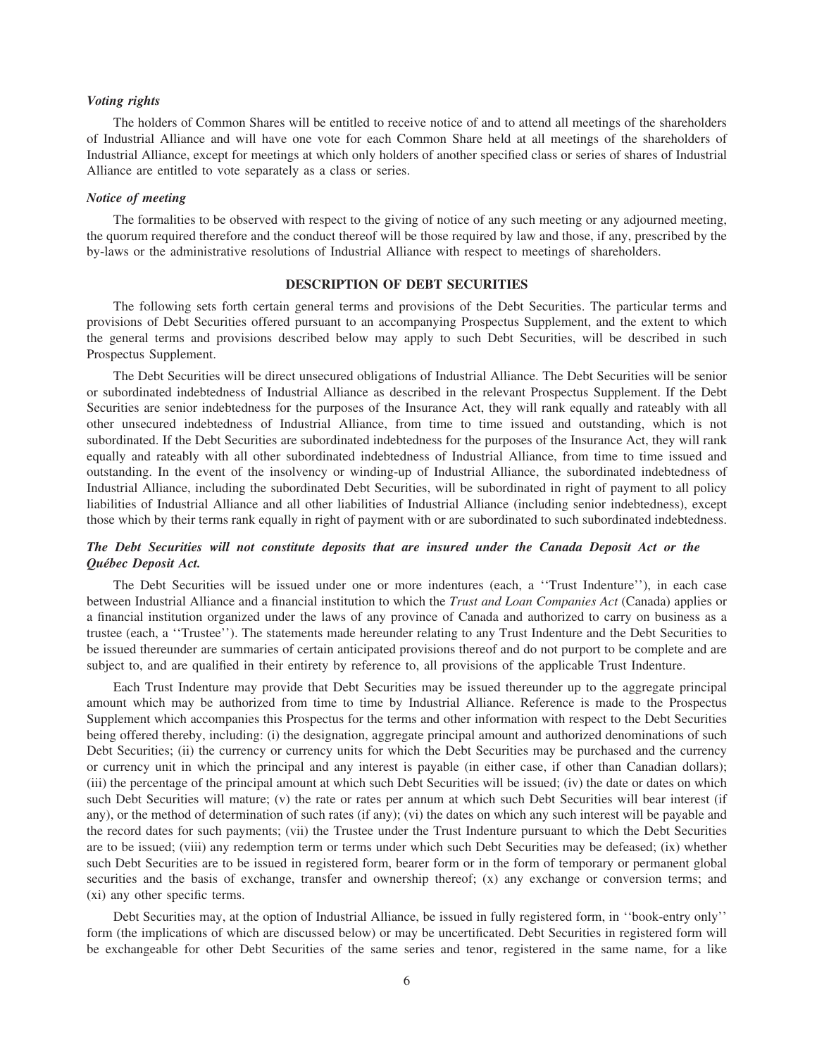## *Voting rights*

The holders of Common Shares will be entitled to receive notice of and to attend all meetings of the shareholders of Industrial Alliance and will have one vote for each Common Share held at all meetings of the shareholders of Industrial Alliance, except for meetings at which only holders of another specified class or series of shares of Industrial Alliance are entitled to vote separately as a class or series.

## *Notice of meeting*

The formalities to be observed with respect to the giving of notice of any such meeting or any adjourned meeting, the quorum required therefore and the conduct thereof will be those required by law and those, if any, prescribed by the by-laws or the administrative resolutions of Industrial Alliance with respect to meetings of shareholders.

#### **DESCRIPTION OF DEBT SECURITIES**

The following sets forth certain general terms and provisions of the Debt Securities. The particular terms and provisions of Debt Securities offered pursuant to an accompanying Prospectus Supplement, and the extent to which the general terms and provisions described below may apply to such Debt Securities, will be described in such Prospectus Supplement.

The Debt Securities will be direct unsecured obligations of Industrial Alliance. The Debt Securities will be senior or subordinated indebtedness of Industrial Alliance as described in the relevant Prospectus Supplement. If the Debt Securities are senior indebtedness for the purposes of the Insurance Act, they will rank equally and rateably with all other unsecured indebtedness of Industrial Alliance, from time to time issued and outstanding, which is not subordinated. If the Debt Securities are subordinated indebtedness for the purposes of the Insurance Act, they will rank equally and rateably with all other subordinated indebtedness of Industrial Alliance, from time to time issued and outstanding. In the event of the insolvency or winding-up of Industrial Alliance, the subordinated indebtedness of Industrial Alliance, including the subordinated Debt Securities, will be subordinated in right of payment to all policy liabilities of Industrial Alliance and all other liabilities of Industrial Alliance (including senior indebtedness), except those which by their terms rank equally in right of payment with or are subordinated to such subordinated indebtedness.

## *The Debt Securities will not constitute deposits that are insured under the Canada Deposit Act or the Qu´ebec Deposit Act.*

The Debt Securities will be issued under one or more indentures (each, a ''Trust Indenture''), in each case between Industrial Alliance and a financial institution to which the *Trust and Loan Companies Act* (Canada) applies or a financial institution organized under the laws of any province of Canada and authorized to carry on business as a trustee (each, a ''Trustee''). The statements made hereunder relating to any Trust Indenture and the Debt Securities to be issued thereunder are summaries of certain anticipated provisions thereof and do not purport to be complete and are subject to, and are qualified in their entirety by reference to, all provisions of the applicable Trust Indenture.

Each Trust Indenture may provide that Debt Securities may be issued thereunder up to the aggregate principal amount which may be authorized from time to time by Industrial Alliance. Reference is made to the Prospectus Supplement which accompanies this Prospectus for the terms and other information with respect to the Debt Securities being offered thereby, including: (i) the designation, aggregate principal amount and authorized denominations of such Debt Securities; (ii) the currency or currency units for which the Debt Securities may be purchased and the currency or currency unit in which the principal and any interest is payable (in either case, if other than Canadian dollars); (iii) the percentage of the principal amount at which such Debt Securities will be issued; (iv) the date or dates on which such Debt Securities will mature; (v) the rate or rates per annum at which such Debt Securities will bear interest (if any), or the method of determination of such rates (if any); (vi) the dates on which any such interest will be payable and the record dates for such payments; (vii) the Trustee under the Trust Indenture pursuant to which the Debt Securities are to be issued; (viii) any redemption term or terms under which such Debt Securities may be defeased; (ix) whether such Debt Securities are to be issued in registered form, bearer form or in the form of temporary or permanent global securities and the basis of exchange, transfer and ownership thereof; (x) any exchange or conversion terms; and (xi) any other specific terms.

Debt Securities may, at the option of Industrial Alliance, be issued in fully registered form, in ''book-entry only'' form (the implications of which are discussed below) or may be uncertificated. Debt Securities in registered form will be exchangeable for other Debt Securities of the same series and tenor, registered in the same name, for a like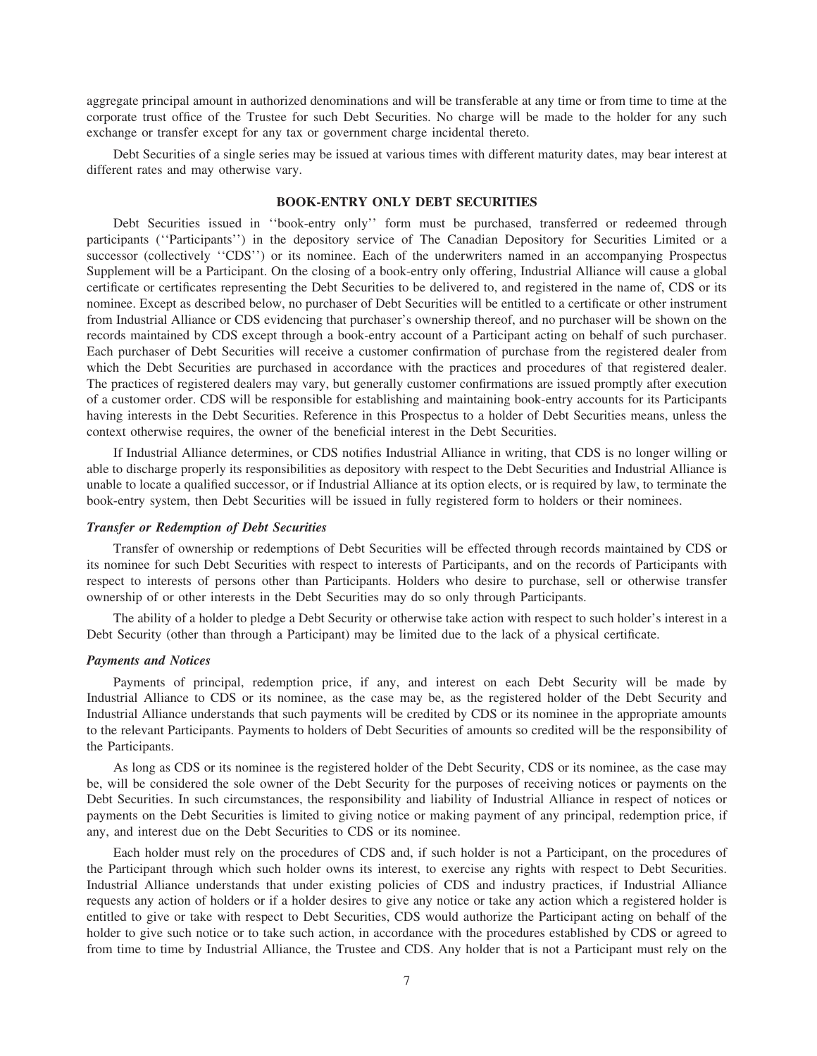aggregate principal amount in authorized denominations and will be transferable at any time or from time to time at the corporate trust office of the Trustee for such Debt Securities. No charge will be made to the holder for any such exchange or transfer except for any tax or government charge incidental thereto.

Debt Securities of a single series may be issued at various times with different maturity dates, may bear interest at different rates and may otherwise vary.

## **BOOK-ENTRY ONLY DEBT SECURITIES**

Debt Securities issued in ''book-entry only'' form must be purchased, transferred or redeemed through participants (''Participants'') in the depository service of The Canadian Depository for Securities Limited or a successor (collectively "CDS") or its nominee. Each of the underwriters named in an accompanying Prospectus Supplement will be a Participant. On the closing of a book-entry only offering, Industrial Alliance will cause a global certificate or certificates representing the Debt Securities to be delivered to, and registered in the name of, CDS or its nominee. Except as described below, no purchaser of Debt Securities will be entitled to a certificate or other instrument from Industrial Alliance or CDS evidencing that purchaser's ownership thereof, and no purchaser will be shown on the records maintained by CDS except through a book-entry account of a Participant acting on behalf of such purchaser. Each purchaser of Debt Securities will receive a customer confirmation of purchase from the registered dealer from which the Debt Securities are purchased in accordance with the practices and procedures of that registered dealer. The practices of registered dealers may vary, but generally customer confirmations are issued promptly after execution of a customer order. CDS will be responsible for establishing and maintaining book-entry accounts for its Participants having interests in the Debt Securities. Reference in this Prospectus to a holder of Debt Securities means, unless the context otherwise requires, the owner of the beneficial interest in the Debt Securities.

If Industrial Alliance determines, or CDS notifies Industrial Alliance in writing, that CDS is no longer willing or able to discharge properly its responsibilities as depository with respect to the Debt Securities and Industrial Alliance is unable to locate a qualified successor, or if Industrial Alliance at its option elects, or is required by law, to terminate the book-entry system, then Debt Securities will be issued in fully registered form to holders or their nominees.

## *Transfer or Redemption of Debt Securities*

Transfer of ownership or redemptions of Debt Securities will be effected through records maintained by CDS or its nominee for such Debt Securities with respect to interests of Participants, and on the records of Participants with respect to interests of persons other than Participants. Holders who desire to purchase, sell or otherwise transfer ownership of or other interests in the Debt Securities may do so only through Participants.

The ability of a holder to pledge a Debt Security or otherwise take action with respect to such holder's interest in a Debt Security (other than through a Participant) may be limited due to the lack of a physical certificate.

#### *Payments and Notices*

Payments of principal, redemption price, if any, and interest on each Debt Security will be made by Industrial Alliance to CDS or its nominee, as the case may be, as the registered holder of the Debt Security and Industrial Alliance understands that such payments will be credited by CDS or its nominee in the appropriate amounts to the relevant Participants. Payments to holders of Debt Securities of amounts so credited will be the responsibility of the Participants.

As long as CDS or its nominee is the registered holder of the Debt Security, CDS or its nominee, as the case may be, will be considered the sole owner of the Debt Security for the purposes of receiving notices or payments on the Debt Securities. In such circumstances, the responsibility and liability of Industrial Alliance in respect of notices or payments on the Debt Securities is limited to giving notice or making payment of any principal, redemption price, if any, and interest due on the Debt Securities to CDS or its nominee.

Each holder must rely on the procedures of CDS and, if such holder is not a Participant, on the procedures of the Participant through which such holder owns its interest, to exercise any rights with respect to Debt Securities. Industrial Alliance understands that under existing policies of CDS and industry practices, if Industrial Alliance requests any action of holders or if a holder desires to give any notice or take any action which a registered holder is entitled to give or take with respect to Debt Securities, CDS would authorize the Participant acting on behalf of the holder to give such notice or to take such action, in accordance with the procedures established by CDS or agreed to from time to time by Industrial Alliance, the Trustee and CDS. Any holder that is not a Participant must rely on the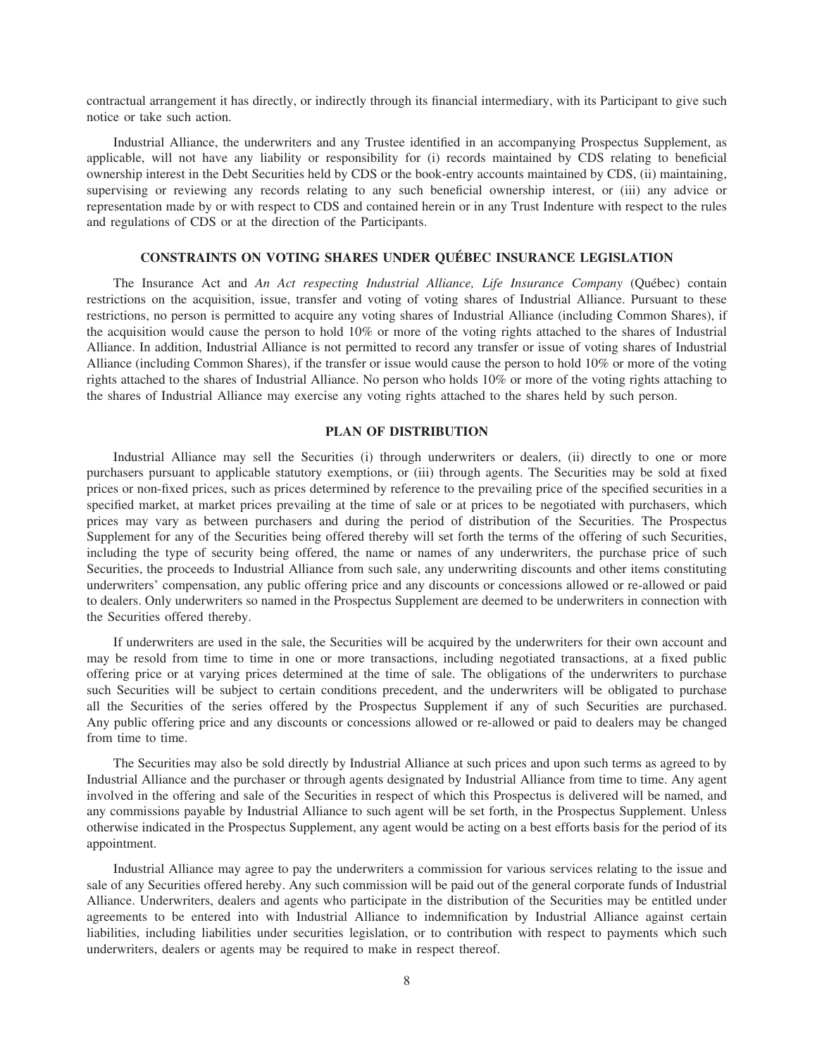contractual arrangement it has directly, or indirectly through its financial intermediary, with its Participant to give such notice or take such action.

Industrial Alliance, the underwriters and any Trustee identified in an accompanying Prospectus Supplement, as applicable, will not have any liability or responsibility for (i) records maintained by CDS relating to beneficial ownership interest in the Debt Securities held by CDS or the book-entry accounts maintained by CDS, (ii) maintaining, supervising or reviewing any records relating to any such beneficial ownership interest, or (iii) any advice or representation made by or with respect to CDS and contained herein or in any Trust Indenture with respect to the rules and regulations of CDS or at the direction of the Participants.

## **CONSTRAINTS ON VOTING SHARES UNDER QUEBEC INSURANCE LEGISLATION ´**

The Insurance Act and *An Act respecting Industrial Alliance, Life Insurance Company* (Québec) contain restrictions on the acquisition, issue, transfer and voting of voting shares of Industrial Alliance. Pursuant to these restrictions, no person is permitted to acquire any voting shares of Industrial Alliance (including Common Shares), if the acquisition would cause the person to hold 10% or more of the voting rights attached to the shares of Industrial Alliance. In addition, Industrial Alliance is not permitted to record any transfer or issue of voting shares of Industrial Alliance (including Common Shares), if the transfer or issue would cause the person to hold 10% or more of the voting rights attached to the shares of Industrial Alliance. No person who holds 10% or more of the voting rights attaching to the shares of Industrial Alliance may exercise any voting rights attached to the shares held by such person.

## **PLAN OF DISTRIBUTION**

Industrial Alliance may sell the Securities (i) through underwriters or dealers, (ii) directly to one or more purchasers pursuant to applicable statutory exemptions, or (iii) through agents. The Securities may be sold at fixed prices or non-fixed prices, such as prices determined by reference to the prevailing price of the specified securities in a specified market, at market prices prevailing at the time of sale or at prices to be negotiated with purchasers, which prices may vary as between purchasers and during the period of distribution of the Securities. The Prospectus Supplement for any of the Securities being offered thereby will set forth the terms of the offering of such Securities, including the type of security being offered, the name or names of any underwriters, the purchase price of such Securities, the proceeds to Industrial Alliance from such sale, any underwriting discounts and other items constituting underwriters' compensation, any public offering price and any discounts or concessions allowed or re-allowed or paid to dealers. Only underwriters so named in the Prospectus Supplement are deemed to be underwriters in connection with the Securities offered thereby.

If underwriters are used in the sale, the Securities will be acquired by the underwriters for their own account and may be resold from time to time in one or more transactions, including negotiated transactions, at a fixed public offering price or at varying prices determined at the time of sale. The obligations of the underwriters to purchase such Securities will be subject to certain conditions precedent, and the underwriters will be obligated to purchase all the Securities of the series offered by the Prospectus Supplement if any of such Securities are purchased. Any public offering price and any discounts or concessions allowed or re-allowed or paid to dealers may be changed from time to time.

The Securities may also be sold directly by Industrial Alliance at such prices and upon such terms as agreed to by Industrial Alliance and the purchaser or through agents designated by Industrial Alliance from time to time. Any agent involved in the offering and sale of the Securities in respect of which this Prospectus is delivered will be named, and any commissions payable by Industrial Alliance to such agent will be set forth, in the Prospectus Supplement. Unless otherwise indicated in the Prospectus Supplement, any agent would be acting on a best efforts basis for the period of its appointment.

Industrial Alliance may agree to pay the underwriters a commission for various services relating to the issue and sale of any Securities offered hereby. Any such commission will be paid out of the general corporate funds of Industrial Alliance. Underwriters, dealers and agents who participate in the distribution of the Securities may be entitled under agreements to be entered into with Industrial Alliance to indemnification by Industrial Alliance against certain liabilities, including liabilities under securities legislation, or to contribution with respect to payments which such underwriters, dealers or agents may be required to make in respect thereof.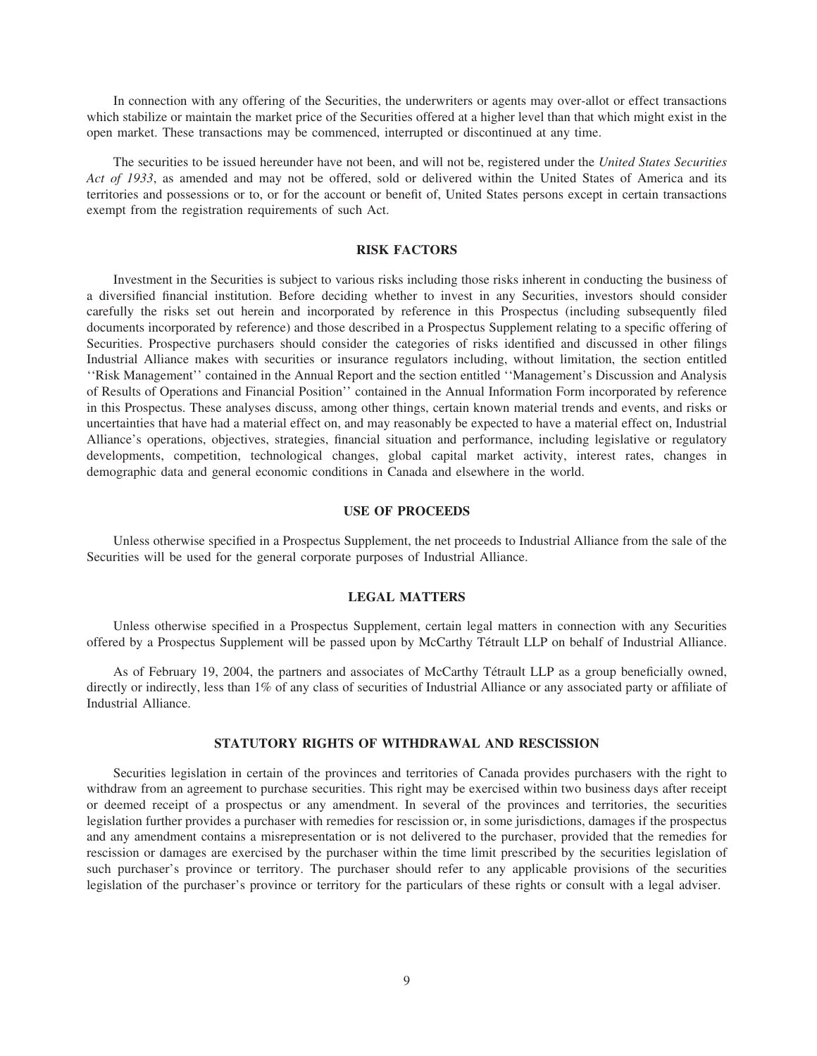In connection with any offering of the Securities, the underwriters or agents may over-allot or effect transactions which stabilize or maintain the market price of the Securities offered at a higher level than that which might exist in the open market. These transactions may be commenced, interrupted or discontinued at any time.

The securities to be issued hereunder have not been, and will not be, registered under the *United States Securities Act of 1933*, as amended and may not be offered, sold or delivered within the United States of America and its territories and possessions or to, or for the account or benefit of, United States persons except in certain transactions exempt from the registration requirements of such Act.

## **RISK FACTORS**

Investment in the Securities is subject to various risks including those risks inherent in conducting the business of a diversified financial institution. Before deciding whether to invest in any Securities, investors should consider carefully the risks set out herein and incorporated by reference in this Prospectus (including subsequently filed documents incorporated by reference) and those described in a Prospectus Supplement relating to a specific offering of Securities. Prospective purchasers should consider the categories of risks identified and discussed in other filings Industrial Alliance makes with securities or insurance regulators including, without limitation, the section entitled ''Risk Management'' contained in the Annual Report and the section entitled ''Management's Discussion and Analysis of Results of Operations and Financial Position'' contained in the Annual Information Form incorporated by reference in this Prospectus. These analyses discuss, among other things, certain known material trends and events, and risks or uncertainties that have had a material effect on, and may reasonably be expected to have a material effect on, Industrial Alliance's operations, objectives, strategies, financial situation and performance, including legislative or regulatory developments, competition, technological changes, global capital market activity, interest rates, changes in demographic data and general economic conditions in Canada and elsewhere in the world.

#### **USE OF PROCEEDS**

Unless otherwise specified in a Prospectus Supplement, the net proceeds to Industrial Alliance from the sale of the Securities will be used for the general corporate purposes of Industrial Alliance.

## **LEGAL MATTERS**

Unless otherwise specified in a Prospectus Supplement, certain legal matters in connection with any Securities offered by a Prospectus Supplement will be passed upon by McCarthy T´etrault LLP on behalf of Industrial Alliance.

As of February 19, 2004, the partners and associates of McCarthy Tétrault LLP as a group beneficially owned, directly or indirectly, less than 1% of any class of securities of Industrial Alliance or any associated party or affiliate of Industrial Alliance.

#### **STATUTORY RIGHTS OF WITHDRAWAL AND RESCISSION**

Securities legislation in certain of the provinces and territories of Canada provides purchasers with the right to withdraw from an agreement to purchase securities. This right may be exercised within two business days after receipt or deemed receipt of a prospectus or any amendment. In several of the provinces and territories, the securities legislation further provides a purchaser with remedies for rescission or, in some jurisdictions, damages if the prospectus and any amendment contains a misrepresentation or is not delivered to the purchaser, provided that the remedies for rescission or damages are exercised by the purchaser within the time limit prescribed by the securities legislation of such purchaser's province or territory. The purchaser should refer to any applicable provisions of the securities legislation of the purchaser's province or territory for the particulars of these rights or consult with a legal adviser.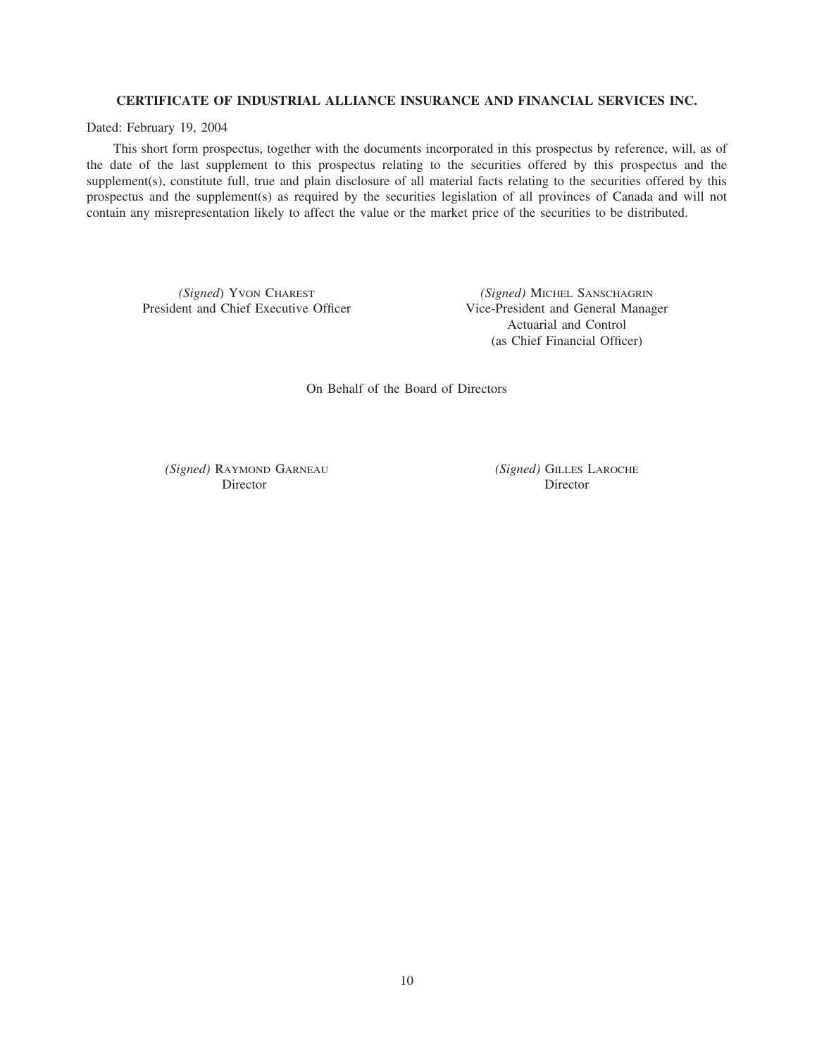## **CERTIFICATE OF INDUSTRIAL ALLIANCE INSURANCE AND FINANCIAL SERVICES INC.**

Dated: February 19, 2004

This short form prospectus, together with the documents incorporated in this prospectus by reference, will, as of the date of the last supplement to this prospectus relating to the securities offered by this prospectus and the supplement(s), constitute full, true and plain disclosure of all material facts relating to the securities offered by this prospectus and the supplement(s) as required by the securities legislation of all provinces of Canada and will not contain any misrepresentation likely to affect the value or the market price of the securities to be distributed.

*(Signed)* Yvon CHAREST *(Signed)* MICHEL SANSCHAGRIN President and Chief Executive Officer *Vice-President and General Manag* 

Vice-President and General Manager Actuarial and Control (as Chief Financial Officer)

On Behalf of the Board of Directors

*(Signed)* RAYMOND GARNEAU *(Signed)* GILLES LAROCHE Director Director Director